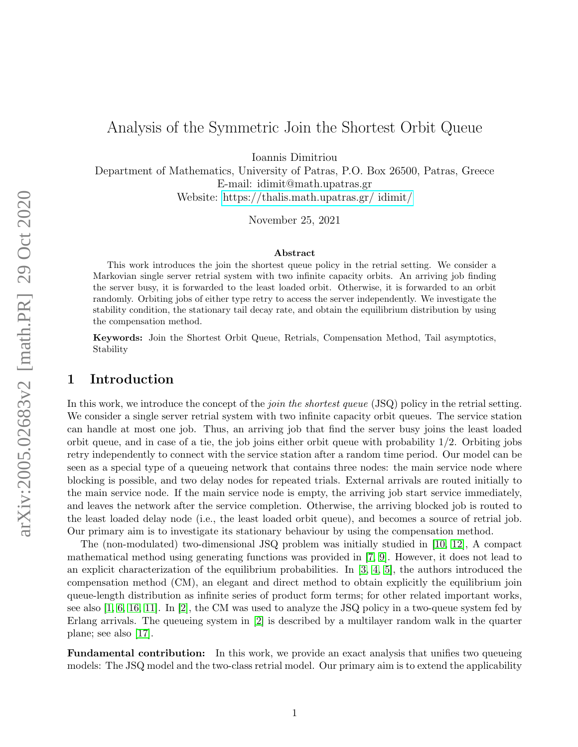# Analysis of the Symmetric Join the Shortest Orbit Queue

Ioannis Dimitriou

Department of Mathematics, University of Patras, P.O. Box 26500, Patras, Greece E-mail: idimit@math.upatras.gr

Website: [https://thalis.math.upatras.gr/ idimit/](https://thalis.math.upatras.gr/~idimit/)

November 25, 2021

#### Abstract

This work introduces the join the shortest queue policy in the retrial setting. We consider a Markovian single server retrial system with two infinite capacity orbits. An arriving job finding the server busy, it is forwarded to the least loaded orbit. Otherwise, it is forwarded to an orbit randomly. Orbiting jobs of either type retry to access the server independently. We investigate the stability condition, the stationary tail decay rate, and obtain the equilibrium distribution by using the compensation method.

Keywords: Join the Shortest Orbit Queue, Retrials, Compensation Method, Tail asymptotics, Stability

## 1 Introduction

In this work, we introduce the concept of the *join the shortest queue* (JSQ) policy in the retrial setting. We consider a single server retrial system with two infinite capacity orbit queues. The service station can handle at most one job. Thus, an arriving job that find the server busy joins the least loaded orbit queue, and in case of a tie, the job joins either orbit queue with probability  $1/2$ . Orbiting jobs retry independently to connect with the service station after a random time period. Our model can be seen as a special type of a queueing network that contains three nodes: the main service node where blocking is possible, and two delay nodes for repeated trials. External arrivals are routed initially to the main service node. If the main service node is empty, the arriving job start service immediately, and leaves the network after the service completion. Otherwise, the arriving blocked job is routed to the least loaded delay node (i.e., the least loaded orbit queue), and becomes a source of retrial job. Our primary aim is to investigate its stationary behaviour by using the compensation method.

The (non-modulated) two-dimensional JSQ problem was initially studied in [\[10,](#page-11-0) [12\]](#page-11-1), A compact mathematical method using generating functions was provided in [\[7,](#page-11-2) [9\]](#page-11-3). However, it does not lead to an explicit characterization of the equilibrium probabilities. In  $[3, 4, 5]$  $[3, 4, 5]$  $[3, 4, 5]$ , the authors introduced the compensation method (CM), an elegant and direct method to obtain explicitly the equilibrium join queue-length distribution as infinite series of product form terms; for other related important works, see also  $[1, 6, 16, 11]$  $[1, 6, 16, 11]$  $[1, 6, 16, 11]$  $[1, 6, 16, 11]$ . In  $[2]$ , the CM was used to analyze the JSQ policy in a two-queue system fed by Erlang arrivals. The queueing system in [\[2\]](#page-11-11) is described by a multilayer random walk in the quarter plane; see also [\[17\]](#page-11-12).

Fundamental contribution: In this work, we provide an exact analysis that unifies two queueing models: The JSQ model and the two-class retrial model. Our primary aim is to extend the applicability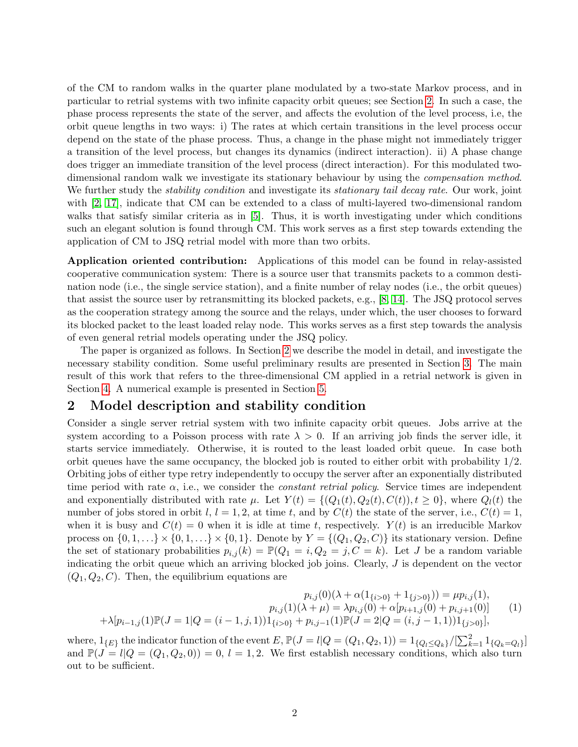of the CM to random walks in the quarter plane modulated by a two-state Markov process, and in particular to retrial systems with two infinite capacity orbit queues; see Section [2.](#page-1-0) In such a case, the phase process represents the state of the server, and affects the evolution of the level process, i.e, the orbit queue lengths in two ways: i) The rates at which certain transitions in the level process occur depend on the state of the phase process. Thus, a change in the phase might not immediately trigger a transition of the level process, but changes its dynamics (indirect interaction). ii) A phase change does trigger an immediate transition of the level process (direct interaction). For this modulated twodimensional random walk we investigate its stationary behaviour by using the compensation method. We further study the *stability condition* and investigate its *stationary tail decay rate*. Our work, joint with [\[2,](#page-11-11) [17\]](#page-11-12), indicate that CM can be extended to a class of multi-layered two-dimensional random walks that satisfy similar criteria as in [\[5\]](#page-11-6). Thus, it is worth investigating under which conditions such an elegant solution is found through CM. This work serves as a first step towards extending the application of CM to JSQ retrial model with more than two orbits.

Application oriented contribution: Applications of this model can be found in relay-assisted cooperative communication system: There is a source user that transmits packets to a common destination node (i.e., the single service station), and a finite number of relay nodes (i.e., the orbit queues) that assist the source user by retransmitting its blocked packets, e.g., [\[8,](#page-11-13) [14\]](#page-11-14). The JSQ protocol serves as the cooperation strategy among the source and the relays, under which, the user chooses to forward its blocked packet to the least loaded relay node. This works serves as a first step towards the analysis of even general retrial models operating under the JSQ policy.

The paper is organized as follows. In Section [2](#page-1-0) we describe the model in detail, and investigate the necessary stability condition. Some useful preliminary results are presented in Section [3.](#page-3-0) The main result of this work that refers to the three-dimensional CM applied in a retrial network is given in Section [4.](#page-5-0) A numerical example is presented in Section [5.](#page-9-0)

## <span id="page-1-0"></span>2 Model description and stability condition

Consider a single server retrial system with two infinite capacity orbit queues. Jobs arrive at the system according to a Poisson process with rate  $\lambda > 0$ . If an arriving job finds the server idle, it starts service immediately. Otherwise, it is routed to the least loaded orbit queue. In case both orbit queues have the same occupancy, the blocked job is routed to either orbit with probability 1/2. Orbiting jobs of either type retry independently to occupy the server after an exponentially distributed time period with rate  $\alpha$ , i.e., we consider the *constant retrial policy*. Service times are independent and exponentially distributed with rate  $\mu$ . Let  $Y(t) = \{(Q_1(t), Q_2(t), C(t)), t \geq 0\}$ , where  $Q_l(t)$  the number of jobs stored in orbit l,  $l = 1, 2$ , at time t, and by  $C(t)$  the state of the server, i.e.,  $C(t) = 1$ , when it is busy and  $C(t) = 0$  when it is idle at time t, respectively.  $Y(t)$  is an irreducible Markov process on  $\{0,1,\ldots\} \times \{0,1,\ldots\} \times \{0,1\}$ . Denote by  $Y = \{(Q_1,Q_2,C)\}$  its stationary version. Define the set of stationary probabilities  $p_{i,j}(k) = \mathbb{P}(Q_1 = i, Q_2 = j, C = k)$ . Let J be a random variable indicating the orbit queue which an arriving blocked job joins. Clearly,  $J$  is dependent on the vector  $(Q_1, Q_2, C)$ . Then, the equilibrium equations are

<span id="page-1-2"></span><span id="page-1-1"></span>
$$
p_{i,j}(0)(\lambda + \alpha(1_{\{i>0\}} + 1_{\{j>0\}})) = \mu p_{i,j}(1),
$$
  
\n
$$
p_{i,j}(1)(\lambda + \mu) = \lambda p_{i,j}(0) + \alpha[p_{i+1,j}(0) + p_{i,j+1}(0)] \qquad (1)
$$
  
\n
$$
+ \lambda[p_{i-1,j}(1)\mathbb{P}(J = 1|Q = (i-1,j,1))1_{\{i>0\}} + p_{i,j-1}(1)\mathbb{P}(J = 2|Q = (i,j-1,1))1_{\{j>0\}}],
$$

where,  $1_{\{E\}}$  the indicator function of the event E,  $\mathbb{P}(J = l | Q = (Q_1, Q_2, 1)) = 1_{\{Q_l \leq Q_k\}} / [\sum_{k=1}^2 1_{\{Q_k = Q_l\}}]$ and  $\mathbb{P}(J = l | Q = (Q_1, Q_2, 0)) = 0, l = 1, 2$ . We first establish necessary conditions, which also turn out to be sufficient.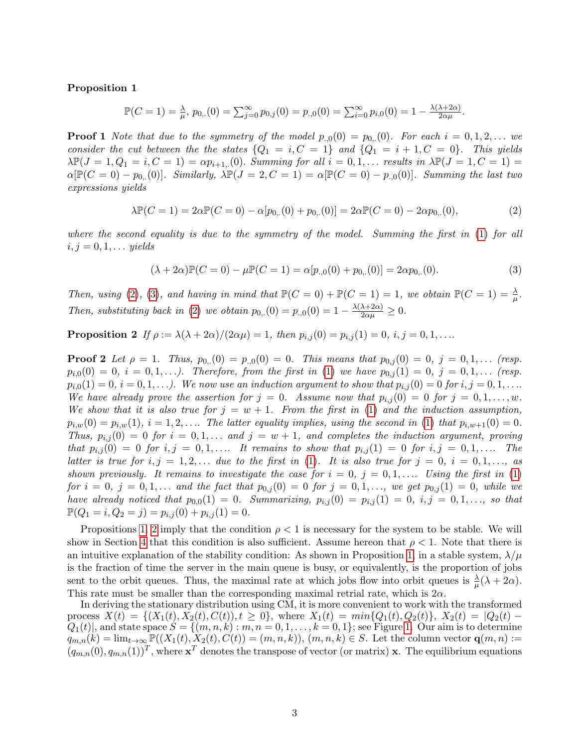#### Proposition 1

$$
\mathbb{P}(C=1) = \frac{\lambda}{\mu}, \ p_{0,.}(0) = \sum_{j=0}^{\infty} p_{0,j}(0) = p_{.,0}(0) = \sum_{i=0}^{\infty} p_{i,0}(0) = 1 - \frac{\lambda(\lambda + 2\alpha)}{2\alpha\mu}.
$$

**Proof 1** Note that due to the symmetry of the model  $p_{0,0}(0) = p_{0,1}(0)$ . For each  $i = 0,1,2,...$  we consider the cut between the the states  ${Q_1 = i, C = 1}$  and  ${Q_1 = i + 1, C = 0}$ . This yields  $\lambda \mathbb{P}(J = 1, Q_1 = i, C = 1) = \alpha p_{i+1,1}(0)$ . Summing for all  $i = 0, 1, ...$  results in  $\lambda \mathbb{P}(J = 1, C = 1)$  $\alpha[\mathbb{P}(C=0)-p_{0}]$ . Similarly,  $\lambda \mathbb{P}(J=2, C=1) = \alpha[\mathbb{P}(C=0)-p_{0}]$ . Summing the last two expressions yields

<span id="page-2-0"></span>
$$
\lambda \mathbb{P}(C=1) = 2\alpha \mathbb{P}(C=0) - \alpha[p_{0,.}(0) + p_{0,.}(0)] = 2\alpha \mathbb{P}(C=0) - 2\alpha p_{0,.}(0),\tag{2}
$$

where the second equality is due to the symmetry of the model. Summing the first in [\(1\)](#page-1-1) for all  $i, j = 0, 1, \ldots$  yields

<span id="page-2-1"></span>
$$
(\lambda + 2\alpha)\mathbb{P}(C = 0) - \mu \mathbb{P}(C = 1) = \alpha[p_{.,0}(0) + p_{0,.}(0)] = 2\alpha p_{0,.}(0). \tag{3}
$$

Then, using [\(2\)](#page-2-0), [\(3\)](#page-2-1), and having in mind that  $\mathbb{P}(C = 0) + \mathbb{P}(C = 1) = 1$ , we obtain  $\mathbb{P}(C = 1) = \frac{\lambda}{\mu}$ . Then, substituting back in [\(2\)](#page-2-0) we obtain  $p_{0,} (0) = p_{,0}(0) = 1 - \frac{\lambda(\lambda + 2\alpha)}{2\alpha\mu} \ge 0$ .

<span id="page-2-2"></span>**Proposition 2** If  $\rho := \lambda(\lambda + 2\alpha)/(2\alpha\mu) = 1$ , then  $p_{i,j}(0) = p_{i,j}(1) = 0$ ,  $i, j = 0, 1, \ldots$ 

**Proof 2** Let  $\rho = 1$ . Thus,  $p_{0}$ .  $(0) = p_{0}$ ,  $(0) = 0$ . This means that  $p_{0,j}(0) = 0$ ,  $j = 0, 1, ...$  (resp.  $p_{i,0}(0) = 0, i = 0,1,...$ ). Therefore, from the first in [\(1\)](#page-1-1) we have  $p_{0,i}(1) = 0, j = 0,1,...$  (resp.  $p_{i,0}(1) = 0, i = 0, 1, \ldots$ ). We now use an induction argument to show that  $p_{i,j}(0) = 0$  for  $i, j = 0, 1, \ldots$ . We have already prove the assertion for  $j = 0$ . Assume now that  $p_{i,j}(0) = 0$  for  $j = 0,1,\ldots,w$ . We show that it is also true for  $j = w + 1$ . From the first in [\(1\)](#page-1-1) and the induction assumption,  $p_{i,w}(0) = p_{i,w}(1), i = 1,2,...$  $p_{i,w}(0) = p_{i,w}(1), i = 1,2,...$  $p_{i,w}(0) = p_{i,w}(1), i = 1,2,...$  The latter equality implies, using the second in (1) that  $p_{i,w+1}(0) = 0$ . Thus,  $p_{i,j}(0) = 0$  for  $i = 0,1,...$  and  $j = w + 1$ , and completes the induction argument, proving that  $p_{i,j}(0) = 0$  for  $i, j = 0, 1, \ldots$  It remains to show that  $p_{i,j}(1) = 0$  for  $i, j = 0, 1, \ldots$  The latter is true for  $i, j = 1, 2, \ldots$  due to the first in [\(1\)](#page-1-1). It is also true for  $j = 0, i = 0, 1, \ldots,$  as shown previously. It remains to investigate the case for  $i = 0, j = 0, 1, \ldots$  Using the first in [\(1\)](#page-1-1) for  $i = 0, j = 0,1,...$  and the fact that  $p_{0,j}(0) = 0$  for  $j = 0,1,...$ , we get  $p_{0,j}(1) = 0$ , while we have already noticed that  $p_{0,0}(1) = 0$ . Summarizing,  $p_{i,j}(0) = p_{i,j}(1) = 0$ ,  $i, j = 0, 1, \ldots$ , so that  $\mathbb{P}(Q_1 = i, Q_2 = j) = p_{i,j}(0) + p_{i,j}(1) = 0.$ 

Propositions [1,](#page-1-2) [2](#page-2-2) imply that the condition  $\rho < 1$  is necessary for the system to be stable. We will show in Section [4](#page-5-0) that this condition is also sufficient. Assume hereon that  $\rho < 1$ . Note that there is an intuitive explanation of the stability condition: As shown in Proposition [1,](#page-1-2) in a stable system,  $\lambda/\mu$ is the fraction of time the server in the main queue is busy, or equivalently, is the proportion of jobs sent to the orbit queues. Thus, the maximal rate at which jobs flow into orbit queues is  $\frac{\lambda}{\mu}(\lambda + 2\alpha)$ . This rate must be smaller than the corresponding maximal retrial rate, which is  $2\alpha$ .

In deriving the stationary distribution using CM, it is more convenient to work with the transformed process  $X(t) = \{(X_1(t), X_2(t), C(t)), t \geq 0\}$ , where  $X_1(t) = min\{Q_1(t), Q_2(t)\}\$ ,  $X_2(t) = |Q_2(t) Q_1(t)$ , and state space  $S = \{(m, n, k) : m, n = 0, 1, \ldots, k = 0, 1\}$ ; see Figure [1.](#page-3-1) Our aim is to determine  $q_{m,n}(k) = \lim_{t\to\infty} \mathbb{P}((X_1(t), X_2(t), C(t)) = (m, n, k)), (m, n, k) \in S$ . Let the column vector  $\mathbf{q}(m, n) :=$  $(q_{m,n}(0), q_{m,n}(1))^T$ , where  $\mathbf{x}^T$  denotes the transpose of vector (or matrix) x. The equilibrium equations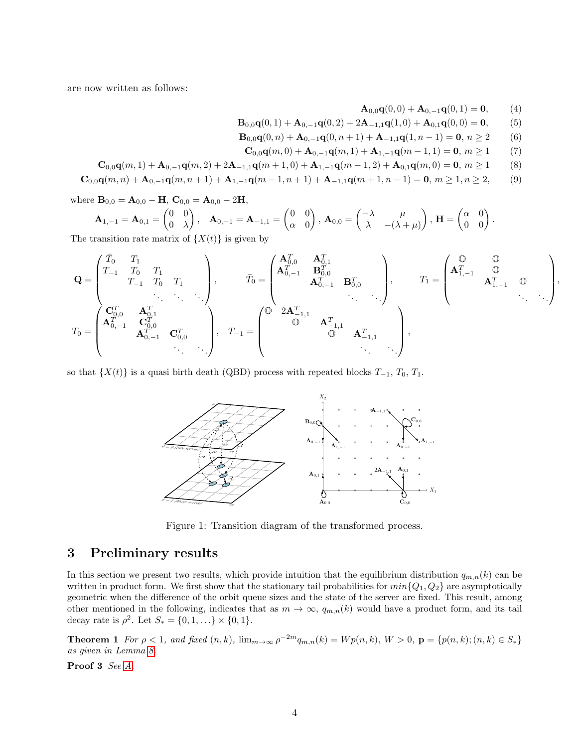are now written as follows:

<span id="page-3-3"></span>
$$
\mathbf{A}_{0,0}\mathbf{q}(0,0) + \mathbf{A}_{0,-1}\mathbf{q}(0,1) = \mathbf{0}, \quad (4)
$$

,

$$
\mathbf{B}_{0,0}\mathbf{q}(0,1) + \mathbf{A}_{0,-1}\mathbf{q}(0,2) + 2\mathbf{A}_{-1,1}\mathbf{q}(1,0) + \mathbf{A}_{0,1}\mathbf{q}(0,0) = \mathbf{0},
$$
 (5)

 $\mathbf{B}_{0,0}\mathbf{q}(0,n) + \mathbf{A}_{0,-1}\mathbf{q}(0,n+1) + \mathbf{A}_{-1,1}\mathbf{q}(1,n-1) = \mathbf{0}, n \ge 2$  (6)

$$
\mathbf{C}_{0,0}\mathbf{q}(m,0) + \mathbf{A}_{0,-1}\mathbf{q}(m,1) + \mathbf{A}_{1,-1}\mathbf{q}(m-1,1) = \mathbf{0}, m \ge 1
$$
 (7)

 $C_{0,0}q(m, 1) + A_{0,-1}q(m, 2) + 2A_{-1,1}q(m+1, 0) + A_{1,-1}q(m-1, 2) + A_{0,1}q(m, 0) = 0, m \ge 1$  (8)

$$
\mathbf{C}_{0,0}\mathbf{q}(m,n) + \mathbf{A}_{0,-1}\mathbf{q}(m,n+1) + \mathbf{A}_{1,-1}\mathbf{q}(m-1,n+1) + \mathbf{A}_{-1,1}\mathbf{q}(m+1,n-1) = \mathbf{0}, \, m \ge 1, n \ge 2,\tag{9}
$$

where  $\mathbf{B}_{0,0} = \mathbf{A}_{0,0} - \mathbf{H}$ ,  $\mathbf{C}_{0,0} = \mathbf{A}_{0,0} - 2\mathbf{H}$ ,  ${\bf A}_{1,-1}={\bf A}_{0,1}=\begin{pmatrix} 0 & 0 \ 0 & 1 \end{pmatrix}, ~~~ {\bf A}_{0,-1}={\bf A}_{-1,1}=$ 

$$
\mathbf{A}_{1,-1} = \mathbf{A}_{0,1} = \begin{pmatrix} 0 & 0 \\ 0 & \lambda \end{pmatrix}, \quad \mathbf{A}_{0,-1} = \mathbf{A}_{-1,1} = \begin{pmatrix} 0 & 0 \\ \alpha & 0 \end{pmatrix}, \ \mathbf{A}_{0,0} = \begin{pmatrix} -\lambda & \mu \\ \lambda & -(\lambda + \mu) \end{pmatrix}, \ \mathbf{H} = \begin{pmatrix} \alpha & 0 \\ 0 & 0 \end{pmatrix}.
$$
  
The transition rate matrix of  $\{X(t)\}$  is given by

$$
\mathbf{Q} = \begin{pmatrix} \bar{T}_0 & T_1 & & & \\ T_{-1} & T_0 & T_1 & & \\ & T_{-1} & T_0 & T_1 & \\ & & \ddots & \ddots & \ddots \\ & & & & \ddots & \ddots \end{pmatrix}, \qquad \bar{T}_0 = \begin{pmatrix} \mathbf{A}_{0,0}^T & \mathbf{A}_{0,1}^T & & & \\ \mathbf{A}_{0,-1}^T & \mathbf{B}_{0,0}^T & & & \\ & \mathbf{A}_{0,-1}^T & \mathbf{B}_{0,0}^T & \\ & & \ddots & \ddots & \ddots \end{pmatrix}, \qquad T_1 = \begin{pmatrix} \mathbf{0} & \mathbf{0} & & \\ \mathbf{A}_{1,-1}^T & \mathbf{0} & & \\ & & \ddots & \ddots & \ddots \\ & & & & \ddots & \ddots \end{pmatrix}
$$

so that  $\{X(t)\}\$ is a quasi birth death (QBD) process with repeated blocks  $T_{-1}$ ,  $T_0$ ,  $T_1$ .



<span id="page-3-2"></span><span id="page-3-1"></span>Figure 1: Transition diagram of the transformed process.

### <span id="page-3-0"></span>3 Preliminary results

In this section we present two results, which provide intuition that the equilibrium distribution  $q_{m,n}(k)$  can be written in product form. We first show that the stationary tail probabilities for  $min\{Q_1, Q_2\}$  are asymptotically geometric when the difference of the orbit queue sizes and the state of the server are fixed. This result, among other mentioned in the following, indicates that as  $m \to \infty$ ,  $q_{m,n}(k)$  would have a product form, and its tail decay rate is  $\rho^2$ . Let  $S_* = \{0, 1, ...\} \times \{0, 1\}.$ 

**Theorem 1** For  $\rho < 1$ , and fixed  $(n, k)$ ,  $\lim_{m \to \infty} \rho^{-2m} q_{m,n}(k) = W p(n, k)$ ,  $W > 0$ ,  $\mathbf{p} = \{p(n, k); (n, k) \in S_*\}$ as given in Lemma [8.](#page-10-0)

Proof 3 See [A.](#page-10-1)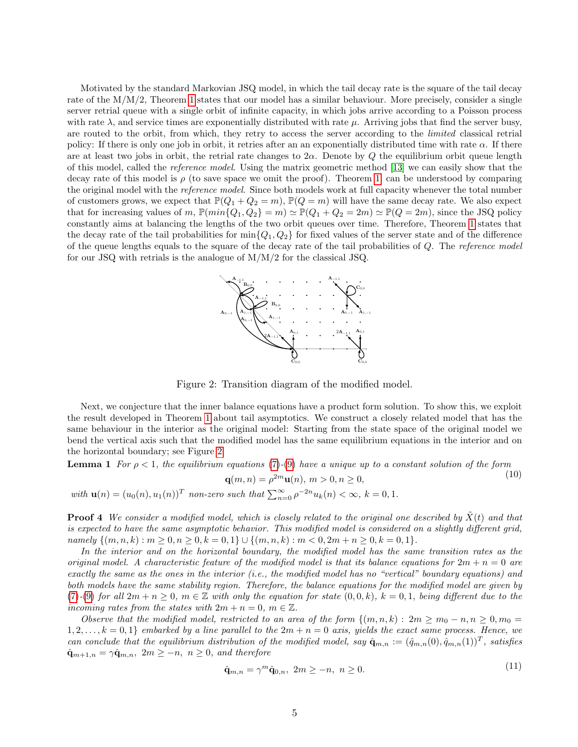Motivated by the standard Markovian JSQ model, in which the tail decay rate is the square of the tail decay rate of the M/M/2, Theorem [1](#page-3-2) states that our model has a similar behaviour. More precisely, consider a single server retrial queue with a single orbit of infinite capacity, in which jobs arrive according to a Poisson process with rate  $\lambda$ , and service times are exponentially distributed with rate  $\mu$ . Arriving jobs that find the server busy, are routed to the orbit, from which, they retry to access the server according to the *limited* classical retrial policy: If there is only one job in orbit, it retries after an an exponentially distributed time with rate  $\alpha$ . If there are at least two jobs in orbit, the retrial rate changes to  $2\alpha$ . Denote by Q the equilibrium orbit queue length of this model, called the reference model. Using the matrix geometric method [\[13\]](#page-11-15) we can easily show that the decay rate of this model is  $\rho$  (to save space we omit the proof). Theorem [1,](#page-3-2) can be understood by comparing the original model with the *reference model*. Since both models work at full capacity whenever the total number of customers grows, we expect that  $\mathbb{P}(Q_1 + Q_2 = m)$ ,  $\mathbb{P}(Q = m)$  will have the same decay rate. We also expect that for increasing values of m,  $\mathbb{P}(min\{Q_1, Q_2\} = m) \simeq \mathbb{P}(Q_1 + Q_2 = 2m) \simeq \mathbb{P}(Q = 2m)$ , since the JSQ policy constantly aims at balancing the lengths of the two orbit queues over time. Therefore, Theorem [1](#page-3-2) states that the decay rate of the tail probabilities for  $\min\{Q_1, Q_2\}$  for fixed values of the server state and of the difference of the queue lengths equals to the square of the decay rate of the tail probabilities of Q. The reference model for our JSQ with retrials is the analogue of M/M/2 for the classical JSQ.



<span id="page-4-3"></span><span id="page-4-0"></span>Figure 2: Transition diagram of the modified model.

Next, we conjecture that the inner balance equations have a product form solution. To show this, we exploit the result developed in Theorem [1](#page-3-2) about tail asymptotics. We construct a closely related model that has the same behaviour in the interior as the original model: Starting from the state space of the original model we bend the vertical axis such that the modified model has the same equilibrium equations in the interior and on the horizontal boundary; see Figure [2.](#page-4-0)

**Lemma 1** For  $\rho < 1$ , the equilibrium equations [\(7\)](#page-3-3)-[\(9\)](#page-3-3) have a unique up to a constant solution of the form

$$
\mathbf{q}(m,n) = \rho^{2m}\mathbf{u}(n), \, m > 0, n \ge 0,
$$
\n
$$
\text{with } \mathbf{u}(n) = (u_0(n), u_1(n))^T \text{ non-zero such that } \sum_{n=0}^{\infty} \rho^{-2n} u_k(n) < \infty, \, k = 0, 1.
$$
\n
$$
(10)
$$

 $\n \textit{namely } \{ (m, n, k) : m \ge 0, n \ge 0, k = 0, 1 \} \cup \{ (m, n, k) : m < 0, 2m + n \ge 0, k = 0, 1 \}.$ **Proof 4** We consider a modified model, which is closely related to the original one described by  $X(t)$  and that is expected to have the same asymptotic behavior. This modified model is considered on a slightly different grid,

In the interior and on the horizontal boundary, the modified model has the same transition rates as the original model. A characteristic feature of the modified model is that its balance equations for  $2m + n = 0$  are exactly the same as the ones in the interior (i.e., the modified model has no "vertical" boundary equations) and both models have the same stability region. Therefore, the balance equations for the modified model are given by [\(7\)](#page-3-3)-[\(9\)](#page-3-3) for all  $2m + n \geq 0$ ,  $m \in \mathbb{Z}$  with only the equation for state  $(0, 0, k)$ ,  $k = 0, 1$ , being different due to the incoming rates from the states with  $2m + n = 0$ ,  $m \in \mathbb{Z}$ .

Observe that the modified model, restricted to an area of the form  ${(m, n, k): 2m \ge m_0 - n, n \ge 0, m_0 =$  $1, 2, \ldots, k = 0, 1$  embarked by a line parallel to the  $2m + n = 0$  axis, yields the exact same process. Hence, we can conclude that the equilibrium distribution of the modified model, say  $\hat{\mathbf{q}}_{m,n} := (\hat{q}_{m,n}(0), \hat{q}_{m,n}(1))^T$ , satisfies  $\hat{\mathbf{q}}_{m+1,n} = \gamma \hat{\mathbf{q}}_{m,n}, \ 2m \geq -n, \ n \geq 0, \ and \ therefore$ 

<span id="page-4-1"></span>
$$
\hat{\mathbf{q}}_{m,n} = \gamma^m \hat{\mathbf{q}}_{0,n}, \ 2m \ge -n, \ n \ge 0. \tag{11}
$$

<span id="page-4-2"></span> $(11)$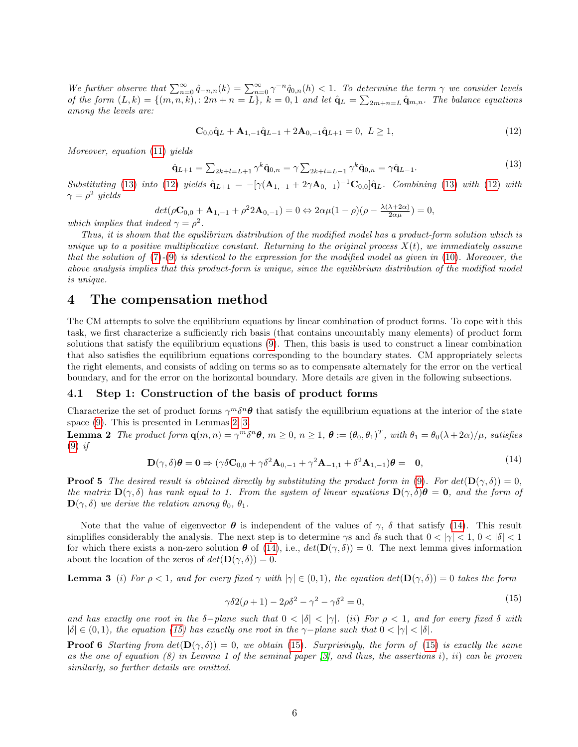We further observe that  $\sum_{n=0}^{\infty} \hat{q}_{-n,n}(k) = \sum_{n=0}^{\infty} \gamma^{-n} \hat{q}_{0,n}(k) < 1$ . To determine the term  $\gamma$  we consider levels of the form  $(L, k) = \{(m, n, k), : 2m + n = L\}$ ,  $k = 0, 1$  and let  $\hat{\mathbf{q}}_L = \sum_{2m+n=L} \hat{\mathbf{q}}_{m,n}$ . The balance equations among the levels are:

<span id="page-5-2"></span><span id="page-5-1"></span>
$$
\mathbf{C}_{0,0}\hat{\mathbf{q}}_L + \mathbf{A}_{1,-1}\hat{\mathbf{q}}_{L-1} + 2\mathbf{A}_{0,-1}\hat{\mathbf{q}}_{L+1} = 0, \ L \ge 1,\tag{12}
$$

Moreover, equation [\(11\)](#page-4-1) yields

$$
\hat{\mathbf{q}}_{L+1} = \sum_{2k+l=L+1} \gamma^k \hat{\mathbf{q}}_{0,n} = \gamma \sum_{2k+l=L-1} \gamma^k \hat{\mathbf{q}}_{0,n} = \gamma \hat{\mathbf{q}}_{L-1}.
$$
\n(13)

Substituting [\(13\)](#page-5-1) into [\(12\)](#page-5-2) yields  $\hat{\mathbf{q}}_{L+1} = -[\gamma(\mathbf{A}_{1,-1} + 2\gamma\mathbf{A}_{0,-1})^{-1}\mathbf{C}_{0,0}]\hat{\mathbf{q}}_L$ . Combining (13) with (12) with  $\gamma = \rho^2$  yields

$$
\det(\rho \mathbf{C}_{0,0} + \mathbf{A}_{1,-1} + \rho^2 2\mathbf{A}_{0,-1}) = 0 \Leftrightarrow 2\alpha \mu (1-\rho)(\rho - \frac{\lambda(\lambda + 2\alpha)}{2\alpha \mu}) = 0,
$$
  
deed  $\alpha - \rho^2$ 

which implies that indeed  $\gamma = \rho^2$ .

Thus, it is shown that the equilibrium distribution of the modified model has a product-form solution which is unique up to a positive multiplicative constant. Returning to the original process  $X(t)$ , we immediately assume that the solution of  $(7)-(9)$  $(7)-(9)$  $(7)-(9)$  is identical to the expression for the modified model as given in  $(10)$ . Moreover, the above analysis implies that this product-form is unique, since the equilibrium distribution of the modified model is unique.

### <span id="page-5-0"></span>4 The compensation method

The CM attempts to solve the equilibrium equations by linear combination of product forms. To cope with this task, we first characterize a sufficiently rich basis (that contains uncountably many elements) of product form solutions that satisfy the equilibrium equations [\(9\)](#page-3-3). Then, this basis is used to construct a linear combination that also satisfies the equilibrium equations corresponding to the boundary states. CM appropriately selects the right elements, and consists of adding on terms so as to compensate alternately for the error on the vertical boundary, and for the error on the horizontal boundary. More details are given in the following subsections.

#### 4.1 Step 1: Construction of the basis of product forms

Characterize the set of product forms  $\gamma^m \delta^n \theta$  that satisfy the equilibrium equations at the interior of the state space [\(9\)](#page-3-3). This is presented in Lemmas [2,](#page-5-3) [3.](#page-5-4)

**Lemma 2** The product form  $q(m,n) = \gamma^m \delta^n \theta$ ,  $m \ge 0$ ,  $n \ge 1$ ,  $\theta := (\theta_0, \theta_1)^T$ , with  $\theta_1 = \theta_0(\lambda + 2\alpha)/\mu$ , satisfies  $(9)$  if

<span id="page-5-5"></span><span id="page-5-3"></span>
$$
\mathbf{D}(\gamma,\delta)\boldsymbol{\theta} = \mathbf{0} \Rightarrow (\gamma \delta \mathbf{C}_{0,0} + \gamma \delta^2 \mathbf{A}_{0,-1} + \gamma^2 \mathbf{A}_{-1,1} + \delta^2 \mathbf{A}_{1,-1})\boldsymbol{\theta} = \mathbf{0},\tag{14}
$$

**Proof 5** The desired result is obtained directly by substituting the product form in [\(9\)](#page-3-3). For  $det(D(\gamma, \delta)) = 0$ , the matrix  $\mathbf{D}(\gamma,\delta)$  has rank equal to 1. From the system of linear equations  $\mathbf{D}(\gamma,\delta)\boldsymbol{\theta}=\mathbf{0}$ , and the form of  $\mathbf{D}(\gamma,\delta)$  we derive the relation among  $\theta_0, \theta_1$ .

Note that the value of eigenvector  $\theta$  is independent of the values of  $\gamma$ ,  $\delta$  that satisfy [\(14\)](#page-5-5). This result simplifies considerably the analysis. The next step is to determine  $\gamma s$  and  $\delta s$  such that  $0 < |\gamma| < 1$ ,  $0 < |\delta| < 1$ for which there exists a non-zero solution  $\theta$  of [\(14\)](#page-5-5), i.e.,  $det(D(\gamma, \delta)) = 0$ . The next lemma gives information about the location of the zeros of  $det(\mathbf{D}(\gamma,\delta))=0$ .

**Lemma 3** (i) For  $\rho < 1$ , and for every fixed  $\gamma$  with  $|\gamma| \in (0,1)$ , the equation  $\det(D(\gamma, \delta)) = 0$  takes the form

<span id="page-5-6"></span><span id="page-5-4"></span>
$$
\gamma \delta 2(\rho + 1) - 2\rho \delta^2 - \gamma^2 - \gamma \delta^2 = 0,\tag{15}
$$

and has exactly one root in the  $\delta$ -plane such that  $0 < |\delta| < |\gamma|$ . (ii) For  $\rho < 1$ , and for every fixed  $\delta$  with  $|\delta| \in (0,1)$ , the equation [\(15\)](#page-5-6) has exactly one root in the  $\gamma$ -plane such that  $0 < |\gamma| < |\delta|$ .

**Proof 6** Starting from  $det(D(\gamma, \delta)) = 0$ , we obtain [\(15\)](#page-5-6). Surprisingly, the form of (15) is exactly the same as the one of equation  $(8)$  in Lemma 1 of the seminal paper  $[3]$ , and thus, the assertions i), ii) can be proven similarly, so further details are omitted.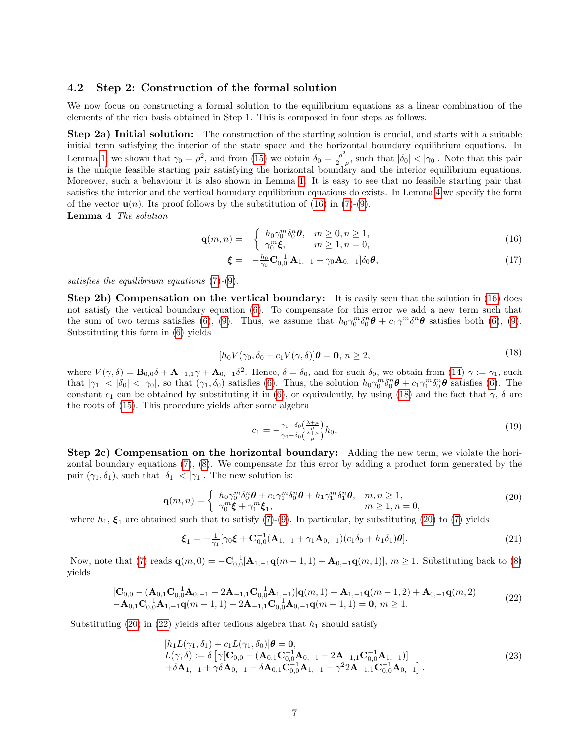#### 4.2 Step 2: Construction of the formal solution

We now focus on constructing a formal solution to the equilibrium equations as a linear combination of the elements of the rich basis obtained in Step 1. This is composed in four steps as follows.

**Step 2a) Initial solution:** The construction of the starting solution is crucial, and starts with a suitable initial term satisfying the interior of the state space and the horizontal boundary equilibrium equations. In Lemma [1,](#page-4-3) we shown that  $\gamma_0 = \rho^2$ , and from [\(15\)](#page-5-6) we obtain  $\delta_0 = \frac{\rho^2}{2+1}$  $\frac{\rho^2}{2+\rho}$ , such that  $|\delta_0| < |\gamma_0|$ . Note that this pair is the unique feasible starting pair satisfying the horizontal boundary and the interior equilibrium equations. Moreover, such a behaviour it is also shown in Lemma [1.](#page-4-3) It is easy to see that no feasible starting pair that satisfies the interior and the vertical boundary equilibrium equations do exists. In Lemma [4](#page-6-0) we specify the form of the vector  $\mathbf{u}(n)$ . Its proof follows by the substitution of [\(16\)](#page-6-1) in [\(7\)](#page-3-3)-[\(9\)](#page-3-3).

Lemma 4 The solution

<span id="page-6-1"></span>
$$
\mathbf{q}(m,n) = \begin{cases} h_0 \gamma_0^m \delta_0^n \boldsymbol{\theta}, & m \ge 0, n \ge 1, \\ \gamma_0^m \boldsymbol{\xi}, & m \ge 1, n = 0, \end{cases}
$$
(16)

<span id="page-6-0"></span>
$$
\xi = -\frac{h_0}{\gamma_0} \mathbf{C}_{0,0}^{-1} [\mathbf{A}_{1,-1} + \gamma_0 \mathbf{A}_{0,-1}] \delta_0 \theta, \tag{17}
$$

satisfies the equilibrium equations [\(7\)](#page-3-3)-[\(9\)](#page-3-3).

**Step 2b) Compensation on the vertical boundary:** It is easily seen that the solution in  $(16)$  does not satisfy the vertical boundary equation [\(6\)](#page-3-3). To compensate for this error we add a new term such that the sum of two terms satisfies [\(6\)](#page-3-3), [\(9\)](#page-3-3). Thus, we assume that  $h_0\gamma_0^m\delta_0^n\boldsymbol{\theta} + c_1\gamma^m\delta^n\boldsymbol{\theta}$  satisfies both (6), (9). Substituting this form in [\(6\)](#page-3-3) yields

<span id="page-6-2"></span>
$$
[h_0 V(\gamma_0, \delta_0 + c_1 V(\gamma, \delta)]\boldsymbol{\theta} = \mathbf{0}, n \ge 2,
$$
\n(18)

where  $V(\gamma, \delta) = \mathbf{B}_{0,0}\delta + \mathbf{A}_{-1,1}\gamma + \mathbf{A}_{0,-1}\delta^2$ . Hence,  $\delta = \delta_0$ , and for such  $\delta_0$ , we obtain from [\(14\)](#page-5-5)  $\gamma := \gamma_1$ , such that  $|\gamma_1| < |\delta_0| < |\gamma_0|$ , so that  $(\gamma_1, \delta_0)$  satisfies [\(6\)](#page-3-3). Thus, the solution  $h_0 \gamma_0^m \delta_0^n \theta + c_1 \gamma_1^m \delta_0^n \theta$  satisfies (6). The constant  $c_1$  can be obtained by substituting it in [\(6\)](#page-3-3), or equivalently, by using [\(18\)](#page-6-2) and the fact that  $\gamma$ ,  $\delta$  are the roots of [\(15\)](#page-5-6). This procedure yields after some algebra

<span id="page-6-7"></span><span id="page-6-6"></span><span id="page-6-3"></span>
$$
c_1 = -\frac{\gamma_1 - \delta_0 \left(\frac{\lambda + \mu}{\mu}\right)}{\gamma_0 - \delta_0 \left(\frac{\lambda + \mu}{\mu}\right)} h_0. \tag{19}
$$

**Step 2c) Compensation on the horizontal boundary:** Adding the new term, we violate the horizontal boundary equations [\(7\)](#page-3-3), [\(8\)](#page-3-3). We compensate for this error by adding a product form generated by the pair  $(\gamma_1, \delta_1)$ , such that  $|\delta_1| < |\gamma_1|$ . The new solution is:

$$
\mathbf{q}(m,n) = \begin{cases} h_0 \gamma_0^m \delta_0^n \boldsymbol{\theta} + c_1 \gamma_1^m \delta_0^n \boldsymbol{\theta} + h_1 \gamma_1^m \delta_1^n \boldsymbol{\theta}, & m,n \ge 1, \\ \gamma_0^m \boldsymbol{\xi} + \gamma_1^m \boldsymbol{\xi}_1, & m \ge 1, n = 0, \end{cases}
$$
(20)

where  $h_1$ ,  $\xi_1$  are obtained such that to satisfy [\(7\)](#page-3-3)-[\(9\)](#page-3-3). In particular, by substituting [\(20\)](#page-6-3) to (7) yields

$$
\boldsymbol{\xi}_1 = -\frac{1}{\gamma_1} [\gamma_0 \boldsymbol{\xi} + \mathbf{C}_{0,0}^{-1} (\mathbf{A}_{1,-1} + \gamma_1 \mathbf{A}_{0,-1}) (c_1 \delta_0 + h_1 \delta_1) \boldsymbol{\theta}]. \tag{21}
$$

<span id="page-6-4"></span>Now, note that [\(7\)](#page-3-3) reads  ${\bf q}(m,0) = -{\bf C}_{0,0}^{-1}[{\bf A}_{1,-1}{\bf q}(m-1,1)+{\bf A}_{0,-1}{\bf q}(m,1)], m\geq 1$ . Substituting back to [\(8\)](#page-3-3) yields

$$
\begin{aligned} & [\mathbf{C}_{0,0} - (\mathbf{A}_{0,1}\mathbf{C}_{0,0}^{-1}\mathbf{A}_{0,-1} + 2\mathbf{A}_{-1,1}\mathbf{C}_{0,0}^{-1}\mathbf{A}_{1,-1})] \mathbf{q}(m,1) + \mathbf{A}_{1,-1}\mathbf{q}(m-1,2) + \mathbf{A}_{0,-1}\mathbf{q}(m,2) \\ &- \mathbf{A}_{0,1}\mathbf{C}_{0,0}^{-1}\mathbf{A}_{1,-1}\mathbf{q}(m-1,1) - 2\mathbf{A}_{-1,1}\mathbf{C}_{0,0}^{-1}\mathbf{A}_{0,-1}\mathbf{q}(m+1,1) = \mathbf{0}, \ m \ge 1. \end{aligned} \tag{22}
$$

Substituting [\(20\)](#page-6-3) in [\(22\)](#page-6-4) yields after tedious algebra that  $h_1$  should satisfy

<span id="page-6-5"></span>
$$
\begin{aligned} \n\left[h_1 L(\gamma_1, \delta_1) + c_1 L(\gamma_1, \delta_0)\right] \theta &= \mathbf{0}, \\ \nL(\gamma, \delta) &:= \delta \left[\gamma [\mathbf{C}_{0,0} - (\mathbf{A}_{0,1} \mathbf{C}_{0,0}^{-1} \mathbf{A}_{0,-1} + 2 \mathbf{A}_{-1,1} \mathbf{C}_{0,0}^{-1} \mathbf{A}_{1,-1})\right] \\ \n+ \delta \mathbf{A}_{1,-1} + \gamma \delta \mathbf{A}_{0,-1} - \delta \mathbf{A}_{0,1} \mathbf{C}_{0,0}^{-1} \mathbf{A}_{1,-1} - \gamma^2 2 \mathbf{A}_{-1,1} \mathbf{C}_{0,0}^{-1} \mathbf{A}_{0,-1} \right]. \n\end{aligned} \tag{23}
$$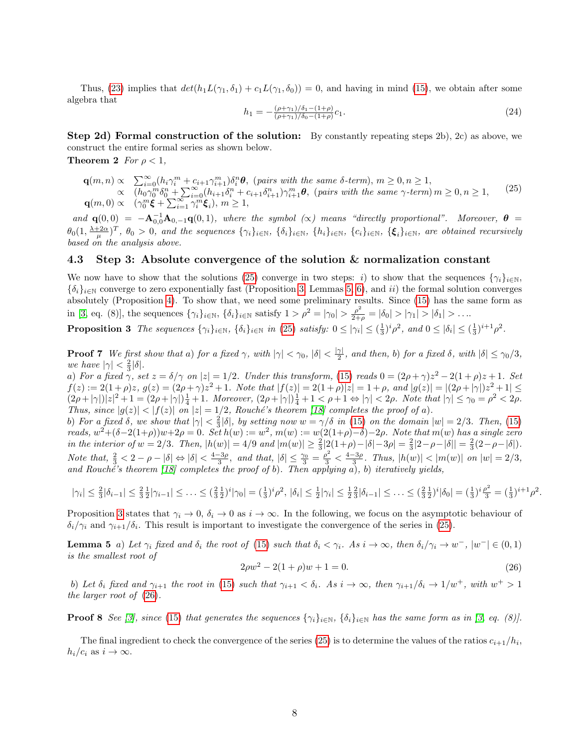<span id="page-7-5"></span>Thus, [\(23\)](#page-6-5) implies that  $det(h_1L(\gamma_1, \delta_1) + c_1L(\gamma_1, \delta_0)) = 0$ , and having in mind [\(15\)](#page-5-6), we obtain after some algebra that

<span id="page-7-6"></span><span id="page-7-0"></span>
$$
h_1 = -\frac{(\rho + \gamma_1)/\delta_1 - (1 + \rho)}{(\rho + \gamma_1)/\delta_0 - (1 + \rho)} c_1.
$$
\n(24)

**Step 2d) Formal construction of the solution:** By constantly repeating steps 2b), 2c) as above, we construct the entire formal series as shown below.

Theorem 2 For  $\rho < 1$ ,

 $\mathbf{q}(m,n) \propto \sum_{i=0}^{\infty} (h_i \gamma_i^m + c_{i+1} \gamma_{i+1}^m) \delta_i^n \boldsymbol{\theta}$ , (pairs with the same  $\delta$ -term),  $m \geq 0, n \geq 1$ ,  $\propto$   $\overbrace{(h_0 \gamma_0^m \delta_0^n + \sum_{i=0}^{\infty} (h_{i+1} \delta_i^n + c_{i+1} \delta_{i+1}^n) \gamma_{i+1}^m \theta}_{i+1},$  (pairs with the same  $\gamma$ -term)  $m \geq 0, n \geq 1,$  $\mathbf{q}(m,0) \propto \quad (\gamma_0^m \ddot{\boldsymbol{\xi}} + \sum_{i=1}^{\infty} \gamma_i^m \boldsymbol{\xi}_i), m \geq 1,$ (25)

and  $\mathbf{q}(0,0) = -\mathbf{A}_{0,0}^{-1}\mathbf{A}_{0,-1}\mathbf{q}(0,1)$ , where the symbol  $(\infty)$  means "directly proportional". Moreover,  $\boldsymbol{\theta} =$  $\theta_0(1,\frac{\lambda+2\alpha}{\mu})^T$ ,  $\theta_0 > 0$ , and the sequences  $\{\gamma_i\}_{i\in\mathbb{N}}$ ,  $\{\delta_i\}_{i\in\mathbb{N}}$ ,  $\{k_i\}_{i\in\mathbb{N}}$ ,  $\{\boldsymbol{\xi}_i\}_{i\in\mathbb{N}}$ , are obtained recursively based on the analysis above.

#### 4.3 Step 3: Absolute convergence of the solution & normalization constant

We now have to show that the solutions [\(25\)](#page-7-0) converge in two steps: i) to show that the sequences  $\{\gamma_i\}_{i\in\mathbb{N}}$ ,  ${\delta_i}_{i\in\mathbb{N}}$  converge to zero exponentially fast (Proposition [3,](#page-7-1) Lemmas [5,](#page-7-2) [6\)](#page-7-3), and ii) the formal solution converges absolutely (Proposition [4\)](#page-8-0). To show that, we need some preliminary results. Since [\(15\)](#page-5-6) has the same form as in [\[3,](#page-11-4) eq. (8)], the sequences  $\{\gamma_i\}_{i\in\mathbb{N}}$ ,  $\{\delta_i\}_{i\in\mathbb{N}}$  satisfy  $1 > \rho^2 = |\gamma_0| > \frac{\rho^2}{2+\rho} = |\delta_0| > |\gamma_1| > |\delta_1| > \dots$ 

**Proposition 3** The sequences  $\{\gamma_i\}_{i\in\mathbb{N}}$ ,  $\{\delta_i\}_{i\in\mathbb{N}}$  in [\(25\)](#page-7-0) satisfy:  $0 \leq |\gamma_i| \leq (\frac{1}{3})^i \rho^2$ , and  $0 \leq |\delta_i| \leq (\frac{1}{3})^{i+1} \rho^2$ .

**Proof 7** We first show that a) for a fixed  $\gamma$ , with  $|\gamma| < \gamma_0$ ,  $|\delta| < \frac{|\gamma|}{2}$  $\frac{\gamma_1}{2}$ , and then, b) for a fixed  $\delta$ , with  $|\delta| \leq \gamma_0/3$ , we have  $|\gamma| < \frac{2}{3} |\delta|$ .

a) For a fixed  $\gamma$ , set  $z = \delta/\gamma$  on  $|z| = 1/2$ . Under this transform, [\(15\)](#page-5-6) reads  $0 = (2\rho + \gamma)z^2 - 2(1+\rho)z + 1$ . Set  $f(z) := 2(1+\rho)z, g(z) = (2\rho+\gamma)z^2+1.$  Note that  $|f(z)| = 2(1+\rho)|z| = 1+\rho$ , and  $|g(z)| = |(2\rho+\gamma)|z^2+1| \le$  $(2\rho + |\gamma|)|z|^2 + 1 = (2\rho + |\gamma|)\frac{1}{4} + 1$ . Moreover,  $(2\rho + |\gamma|)\frac{1}{4} + 1 < \rho + 1 \Leftrightarrow |\gamma| < 2\rho$ . Note that  $|\gamma| \le \gamma_0 = \rho^2 < 2\rho$ . Thus, since  $|g(z)| < |f(z)|$  on  $|z| = 1/2$ , Rouché's theorem [\[18\]](#page-11-16) completes the proof of a).

b) For a fixed  $\delta$ , we show that  $|\gamma| < \frac{2}{3} |\delta|$ , by setting now  $w = \gamma/\delta$  in [\(15\)](#page-5-6) on the domain  $|w| = 2/3$ . Then, (15)  ${\cal L}$  reads, w<sup>2</sup>+( $\delta$ -2(1+ρ))w+2ρ = 0. Set h(w) := w<sup>2</sup>, m(w) := w(2(1+ρ)- $\delta$ )-2ρ. Note that m(w) has a single zero in the interior of  $w = 2/3$ . Then,  $|h(w)| = 4/9$  and  $|m(w)| \ge \frac{2}{3} |2(1+\rho) - |\delta| - 3\rho = \frac{2}{3} |2-\rho - |\delta| = \frac{2}{3}(2-\rho - |\delta|)$ . Note that,  $\frac{2}{3} < 2 - \rho - |\delta| \Leftrightarrow |\delta| < \frac{4-3\rho}{3}$ , and that,  $|\delta| \leq \frac{\gamma_0}{3} = \frac{\rho^2}{3} < \frac{4-3\rho}{3}$ . Thus,  $|h(w)| < |m(w)|$  on  $|w| = 2/3$ , and Rouché's theorem [\[18\]](#page-11-16) completes the proof of b). Then applying a), b) iteratively yields,

$$
|\gamma_i| \leq \frac{2}{3} |\delta_{i-1}| \leq \frac{2}{3} \frac{1}{2} |\gamma_{i-1}| \leq \ldots \leq (\frac{2}{3} \frac{1}{2})^i |\gamma_0| = (\frac{1}{3})^i \rho^2, |\delta_i| \leq \frac{1}{2} |\gamma_i| \leq \frac{1}{2} \frac{2}{3} |\delta_{i-1}| \leq \ldots \leq (\frac{2}{3} \frac{1}{2})^i |\delta_0| = (\frac{1}{3})^i \frac{\rho^2}{3} = (\frac{1}{3})^{i+1} \rho^2
$$

Proposition [3](#page-7-1) states that  $\gamma_i \to 0$ ,  $\delta_i \to 0$  as  $i \to \infty$ . In the following, we focus on the asymptotic behaviour of  $\delta_i/\gamma_i$  and  $\gamma_{i+1}/\delta_i$ . This result is important to investigate the convergence of the series in [\(25\)](#page-7-0).

**Lemma 5** a) Let  $\gamma_i$  fixed and  $\delta_i$  the root of [\(15\)](#page-5-6) such that  $\delta_i < \gamma_i$ . As  $i \to \infty$ , then  $\delta_i/\gamma_i \to w^-$ ,  $|w^-| \in (0,1)$ is the smallest root of

<span id="page-7-4"></span>
$$
2\rho w^2 - 2(1+\rho)w + 1 = 0.\tag{26}
$$

<span id="page-7-2"></span><span id="page-7-1"></span>.

b) Let  $\delta_i$  fixed and  $\gamma_{i+1}$  the root in [\(15\)](#page-5-6) such that  $\gamma_{i+1} < \delta_i$ . As  $i \to \infty$ , then  $\gamma_{i+1}/\delta_i \to 1/w^+$ , with  $w^+ > 1$ the larger root of [\(26\)](#page-7-4).

**Proof 8** See [\[3\]](#page-11-4), since [\(15\)](#page-5-6) that generates the sequences  $\{\gamma_i\}_{i\in\mathbb{N}}$ ,  $\{\delta_i\}_{i\in\mathbb{N}}$  has the same form as in [\[3,](#page-11-4) eq. (8)].

<span id="page-7-3"></span>The final ingredient to check the convergence of the series [\(25\)](#page-7-0) is to determine the values of the ratios  $c_{i+1}/h_i$ ,  $h_i/c_i$  as  $i \to \infty$ .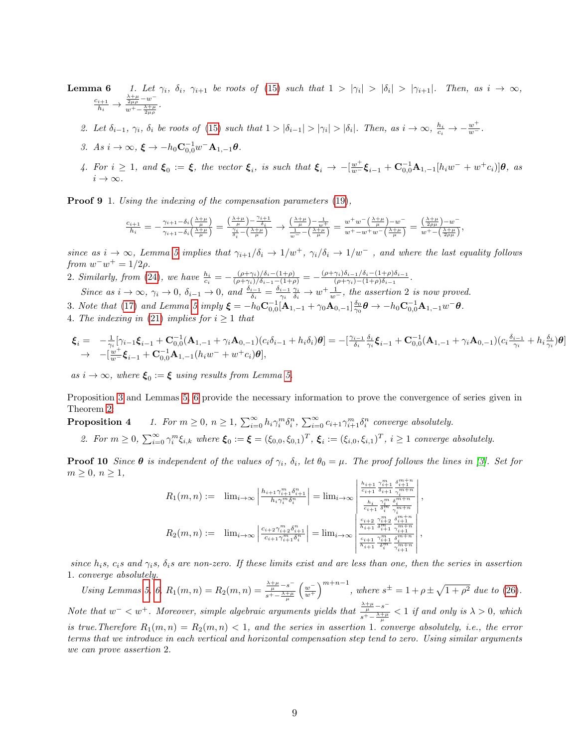- **Lemma 6** 1. Let  $\gamma_i$ ,  $\delta_i$ ,  $\gamma_{i+1}$  be roots of [\(15\)](#page-5-6) such that  $1 > |\gamma_i| > |\delta_i| > |\gamma_{i+1}|$ . Then, as  $i \to \infty$ ,  $rac{c_{i+1}}{h_i} \rightarrow \frac{\frac{\lambda+\mu}{2\mu\rho} - w^-}{w^+ - \frac{\lambda+\mu}{2\mu\rho}}$  $\frac{2\mu\rho}{w^+ - \frac{\lambda+\mu}{2\mu\rho}}.$ 
	- 2. Let  $\delta_{i-1}, \gamma_i, \delta_i$  be roots of [\(15\)](#page-5-6) such that  $1 > |\delta_{i-1}| > |\gamma_i| > |\delta_i|$ . Then, as  $i \to \infty$ ,  $\frac{h_i}{c_i} \to -\frac{w^+}{w^-}$ .
	- 3. As  $i \to \infty$ ,  $\xi \to -h_0 \mathbf{C}_{0,0}^{-1} w^- \mathbf{A}_{1,-1} \theta$ .
	- 4. For  $i \geq 1$ , and  $\xi_0 := \xi$ , the vector  $\xi_i$ , is such that  $\xi_i \rightarrow -[\frac{w^+}{w^-} \xi_{i-1} + \mathbf{C}_{0,0}^{-1} \mathbf{A}_{1,-1}[h_i w^- + w^+ c_i]]\boldsymbol{\theta}$ , as  $i \rightarrow \infty$ .

Proof 9 1. Using the indexing of the compensation parameters [\(19\)](#page-6-6),

$$
\tfrac{c_{i+1}}{h_i} = -\tfrac{\gamma_{i+1} - \delta_i\left(\tfrac{\lambda+\mu}{\mu}\right)}{\gamma_{i+1} - \delta_i\left(\tfrac{\lambda+\mu}{\mu}\right)} = \tfrac{\left(\tfrac{\lambda+\mu}{\mu}\right) - \tfrac{\gamma_{i+1}}{\delta_i}}{\tfrac{\gamma_i}{\delta_i} - \left(\tfrac{\lambda+\mu}{\mu}\right)} \to \tfrac{\left(\tfrac{\lambda+\mu}{\mu}\right) - \tfrac{1}{w^+}}{\tfrac{1}{w^-} - \left(\tfrac{\lambda+\mu}{\mu}\right)} = \tfrac{w^+w^-\left(\tfrac{\lambda+\mu}{\mu}\right) - w^-}{w^+ - w^+w^-\left(\tfrac{\lambda+\mu}{\mu}\right)} = \tfrac{\left(\tfrac{\lambda+\mu}{2\rho\mu}\right) - w^-}{w^+ - \left(\tfrac{\lambda+\mu}{2\rho\mu}\right)},
$$

since as  $i \to \infty$ , Lemma [5](#page-7-2) implies that  $\gamma_{i+1}/\delta_i \to 1/w^+$ ,  $\gamma_i/\delta_i \to 1/w^-$ , and where the last equality follows from  $w^-w^+ = 1/2\rho$ .

2. Similarly, from [\(24\)](#page-7-5), we have  $\frac{h_i}{c_i} = -\frac{(\rho + \gamma_i)/\delta_i - (1+\rho)}{(\rho + \gamma_i)/\delta_{i-1} - (1+\rho)} = -\frac{(\rho + \gamma_i)\delta_{i-1}/\delta_i - (1+\rho)\delta_{i-1}}{(\rho + \gamma_i) - (1+\rho)\delta_{i-1}}$  $\frac{\gamma_i \, \beta \delta_{i-1} / \delta_i - (1+\rho) \delta_{i-1}}{(\rho + \gamma_i) - (1+\rho) \delta_{i-1}}$ Since as  $i \to \infty$ ,  $\gamma_i \to 0$ ,  $\delta_{i-1} \to 0$ , and  $\frac{\delta_{i-1}}{\delta_i} = \frac{\delta_{i-1}}{\gamma_i}$  $\frac{i-1}{\gamma_i} \frac{\gamma_i}{\delta_i} \to w^+ \frac{1}{w^-}$ , the assertion 2 is now proved.

3. Note that [\(17\)](#page-6-1) and Lemma [5](#page-7-2) imply  $\xi = -h_0 \mathbf{C}_{0,0}^{-1} [\mathbf{A}_{1,-1} + \gamma_0 \mathbf{A}_{0,-1}] \frac{\delta_0}{\gamma_0} \boldsymbol{\theta} \to -h_0 \mathbf{C}_{0,0}^{-1} \mathbf{A}_{1,-1} w^{-} \boldsymbol{\theta}$ .

4. The indexing in [\(21\)](#page-6-7) implies for  $i > 1$  that

$$
\begin{array}{lll}\xi_i = & -\frac{1}{\gamma_i} [\gamma_{i-1} \xi_{i-1} + \mathbf{C}_{0,0}^{-1} (\mathbf{A}_{1,-1} + \gamma_i \mathbf{A}_{0,-1}) (c_i \delta_{i-1} + h_i \delta_i) \theta] = -[\frac{\gamma_{i-1}}{\delta_i} \frac{\delta_i}{\gamma_i} \xi_{i-1} + \mathbf{C}_{0,0}^{-1} (\mathbf{A}_{1,-1} + \gamma_i \mathbf{A}_{0,-1}) (c_i \frac{\delta_{i-1}}{\gamma_i} + h_i \frac{\delta_i}{\gamma_i}) \theta] \\ & \to & -[\frac{w^+}{w^-} \xi_{i-1} + \mathbf{C}_{0,0}^{-1} \mathbf{A}_{1,-1} (h_i w^- + w^+ c_i) \theta],\end{array}
$$

as  $i \to \infty$ , where  $\xi_0 := \xi$  using results from Lemma [5.](#page-7-2)

Proposition [3](#page-7-1) and Lemmas [5,](#page-7-2) [6](#page-7-3) provide the necessary information to prove the convergence of series given in Theorem [2:](#page-7-6)

**Proposition 4** 1. For  $m \geq 0$ ,  $n \geq 1$ ,  $\sum_{i=0}^{\infty} h_i \gamma_i^m \delta_i^n$ ,  $\sum_{i=0}^{\infty} c_{i+1} \gamma_{i+1}^m \delta_i^n$  converge absolutely.

<span id="page-8-0"></span>2. For 
$$
m \ge 0
$$
,  $\sum_{i=0}^{\infty} \gamma_i^m \xi_{i,k}$  where  $\xi_0 := \xi = (\xi_{0,0}, \xi_{0,1})^T$ ,  $\xi_i := (\xi_{i,0}, \xi_{i,1})^T$ ,  $i \ge 1$  converge absolutely.

**Proof 10** Since  $\theta$  is independent of the values of  $\gamma_i$ ,  $\delta_i$ , let  $\theta_0 = \mu$ . The proof follows the lines in [\[3\]](#page-11-4). Set for  $m \geq 0, n \geq 1,$ 

$$
R_1(m,n) := \lim_{i \to \infty} \left| \frac{h_{i+1} \gamma_{i+1}^m \delta_{i+1}^n}{h_i \gamma_i^m \delta_i^n} \right| = \lim_{i \to \infty} \left| \frac{\frac{h_{i+1}}{c_{i+1}} \frac{\gamma_{i+1}^m \delta_{i+1}^m}{\delta_{i+1}}}{\frac{h_i}{c_{i+1}} \frac{\gamma_i^m \delta_i^m}{\delta_i^m} \frac{\delta_i^m}{\gamma_i^{m+n}}} \right|,
$$
  

$$
R_2(m,n) := \lim_{i \to \infty} \left| \frac{c_{i+2} \gamma_{i+2}^m \delta_{i+1}^n}{c_{i+1} \gamma_{i+1}^m \delta_i^n} \right| = \lim_{i \to \infty} \left| \frac{\frac{c_{i+2}}{c_{i+1}} \frac{\gamma_{i+1}^m \delta_i^m}{\delta_i^m} \frac{\delta_i^m}{\gamma_{i+1}^{m+n}}} {\frac{c_{i+1}}{c_{i+1}} \frac{\gamma_{i+1}^m \delta_{i+1}^m}{\delta_i^m \delta_i^m} \frac{\delta_i^m}{\gamma_{i+1}^{m+n}}} \right|,
$$

since  $h_i s$ ,  $c_i s$  and  $\gamma_i s$ ,  $\delta_i s$  are non-zero. If these limits exist and are less than one, then the series in assertion 1. converge absolutely.

Using Lemmas [5,](#page-7-2) [6,](#page-7-3)  $R_1(m,n) = R_2(m,n) = \frac{\frac{\lambda+\mu}{\mu}-s^{-1}}{s^{+}-\frac{\lambda+\mu}{\mu}}$  $s^+ - \frac{\lambda + \mu}{\mu}$  $\left(\frac{w}{w}\right)^{-1}$  $\left(\frac{w^{-}}{w^{+}}\right)^{m+n-1}$ , where  $s^{\pm} = 1 + \rho \pm \sqrt{1 + \rho^{2}}$  due to [\(26\)](#page-7-4). Note that  $w^- < w^+$ . Moreover, simple algebraic arguments yields that  $\frac{\lambda+\mu}{\mu} - s^ \frac{\mu}{s^+ - \frac{\lambda + \mu}{\mu}} < 1$  if and only is  $\lambda > 0$ , which

is true. Therefore  $R_1(m,n) = R_2(m,n) < 1$ , and the series in assertion 1. converge absolutely, i.e., the error terms that we introduce in each vertical and horizontal compensation step tend to zero. Using similar arguments we can prove assertion 2.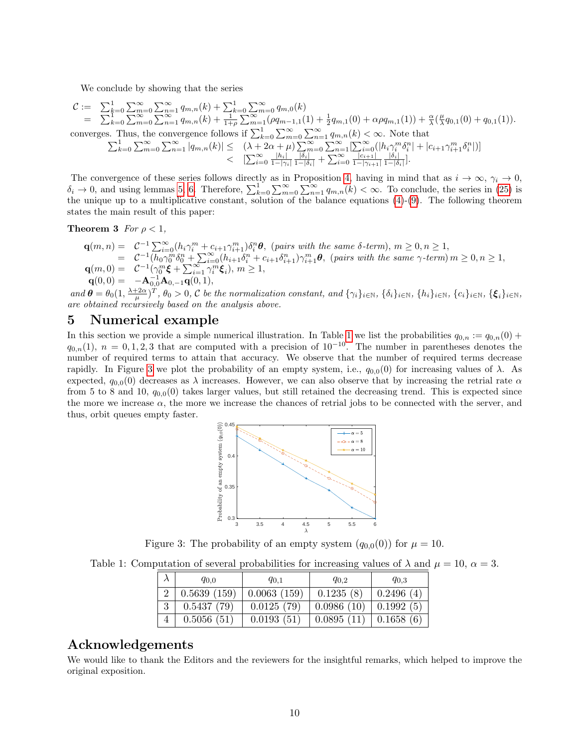We conclude by showing that the series

$$
C := \sum_{k=0}^{1} \sum_{m=0}^{\infty} \sum_{m=0}^{\infty} \sum_{n=1}^{\infty} q_{m,n}(k) + \sum_{k=0}^{1} \sum_{m=0}^{\infty} q_{m,0}(k)
$$
  
=  $\sum_{k=0}^{1} \sum_{m=0}^{\infty} \sum_{m=1}^{\infty} q_{m,n}(k) + \frac{1}{1+\rho} \sum_{m=1}^{\infty} (\rho q_{m-1,1}(1) + \frac{1}{2} q_{m,1}(0) + \alpha \rho q_{m,1}(1)) + \frac{\alpha}{\lambda} (\frac{\mu}{\lambda} q_{0,1}(0) + q_{0,1}(1)).$   
converges. Thus, the convergence follows if  $\sum_{k=0}^{1} \sum_{m=0}^{\infty} \sum_{m=1}^{\infty} q_{m,n}(k) < \infty$ . Note that

$$
\sum_{k=0}^{1} \sum_{m=0}^{\infty} \sum_{m=1}^{\infty} \left| q_{m,n}(k) \right| \leq \left( \lambda + 2\alpha + \mu \right) \sum_{m=0}^{\infty} \sum_{n=1}^{\infty} \left[ \sum_{i=0}^{\infty} \left( |h_i \gamma_i^m \delta_i^n| + |c_{i+1} \gamma_{i+1}^m \delta_i^n| \right) \right] \n\leq \left[ \sum_{i=0}^{\infty} \frac{|h_i|}{1 - |\gamma_i|} \frac{|\delta_i|}{1 - |\delta_i|} + \sum_{i=0}^{\infty} \frac{|c_{i+1}|}{1 - |\gamma_{i+1}|} \frac{|\delta_i|}{1 - |\delta_i|} \right].
$$

The convergence of these series follows directly as in Proposition [4,](#page-8-0) having in mind that as  $i \to \infty$ ,  $\gamma_i \to 0$ ,  $\delta_i \to 0$ , and using lemmas [5,](#page-7-2) [6.](#page-7-3) Therefore,  $\sum_{k=0}^{1} \sum_{m=0}^{\infty} \sum_{n=1}^{\infty} q_{m,n}(k) < \infty$ . To conclude, the series in [\(25\)](#page-7-0) is the unique up to a multiplicative constant, solution of the balance equations [\(4\)](#page-3-3)-[\(9\)](#page-3-3). The following theorem states the main result of this paper:

**Theorem 3** For  $\rho < 1$ ,

$$
\begin{array}{ll}\n\mathbf{q}(m,n) = & \mathcal{C}^{-1} \sum_{i=0}^{\infty} (h_i \gamma_i^m + c_{i+1} \gamma_{i+1}^m) \delta_i^n \boldsymbol{\theta}, \text{ (pairs with the same } \delta\text{-term)}, \, m \geq 0, n \geq 1, \\
& = & \mathcal{C}^{-1} (h_0 \gamma_0^m \delta_0^n + \sum_{i=0}^{\infty} (h_{i+1} \delta_i^n + c_{i+1} \delta_{i+1}^n) \gamma_{i+1}^m \boldsymbol{\theta}, \text{ (pairs with the same } \gamma\text{-term}) \, m \geq 0, n \geq 1, \\
\mathbf{q}(m,0) = & \mathcal{C}^{-1} (\gamma_0^m \boldsymbol{\xi} + \sum_{i=1}^{\infty} \gamma_i^m \boldsymbol{\xi}_i), \, m \geq 1, \\
\mathbf{q}(0,0) = & -\mathbf{A}_{0,0}^{-1} \mathbf{A}_{0,-1} \mathbf{q}(0,1),\n\end{array}
$$

and  $\theta = \theta_0(1, \frac{\lambda + 2\alpha}{\mu})^T$ ,  $\theta_0 > 0$ , C be the normalization constant, and  $\{\gamma_i\}_{i \in \mathbb{N}}$ ,  $\{\delta_i\}_{i \in \mathbb{N}}$ ,  $\{h_i\}_{i \in \mathbb{N}}$ ,  $\{c_i\}_{i \in \mathbb{N}}$ ,  $\{\xi_i\}_{i \in \mathbb{N}}$ are obtained recursively based on the analysis above.

### <span id="page-9-0"></span>5 Numerical example

In this section we provide a simple numerical illustration. In Table [1](#page-9-1) we list the probabilities  $q_{0,n} := q_{0,n}(0)$  +  $q_{0,n}(1)$ ,  $n = 0,1,2,3$  that are computed with a precision of  $10^{-10}$ . The number in parentheses denotes the number of required terms to attain that accuracy. We observe that the number of required terms decrease rapidly. In Figure [3](#page-9-2) we plot the probability of an empty system, i.e.,  $q_{0,0}(0)$  for increasing values of  $\lambda$ . As expected,  $q_{0,0}(0)$  decreases as  $\lambda$  increases. However, we can also observe that by increasing the retrial rate  $\alpha$ from 5 to 8 and 10,  $q_{0.0}(0)$  takes larger values, but still retained the decreasing trend. This is expected since the more we increase  $\alpha$ , the more we increase the chances of retrial jobs to be connected with the server, and thus, orbit queues empty faster.



<span id="page-9-2"></span><span id="page-9-1"></span>Figure 3: The probability of an empty system  $(q_{0,0}(0))$  for  $\mu = 10$ .

Table 1: Computation of several probabilities for increasing values of  $\lambda$  and  $\mu = 10$ ,  $\alpha = 3$ .

| $q_{0,0}$   | $q_{0.1}$   | $q_{0,2}$               | $q_{0,3}$ |
|-------------|-------------|-------------------------|-----------|
| 0.5639(159) | 0.0063(159) | 0.1235(8)               | 0.2496(4) |
| 0.5437(79)  | 0.0125(79)  | $0.0986(10)$ 0.1992(5)  |           |
| 0.5056(51)  | 0.0193(51)  | $0.0895(11)$ 0.1658 (6) |           |

## Acknowledgements

We would like to thank the Editors and the reviewers for the insightful remarks, which helped to improve the original exposition.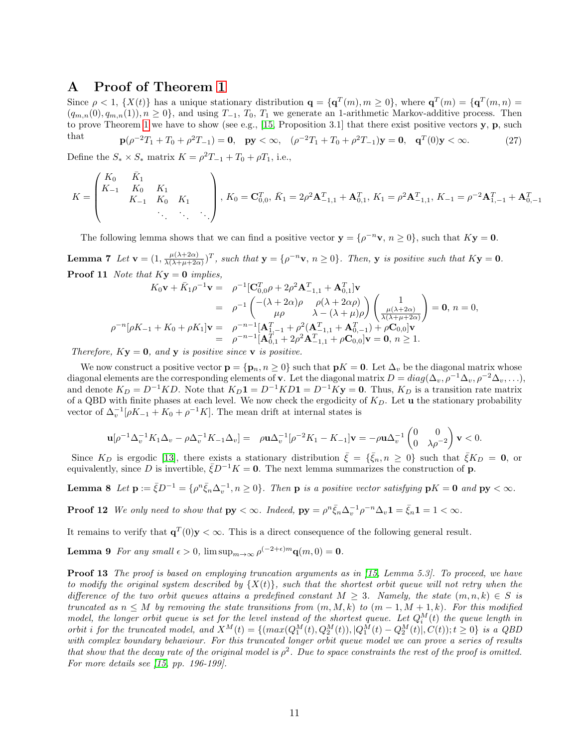### <span id="page-10-1"></span>A Proof of Theorem [1](#page-3-2)

Since  $\rho < 1$ ,  $\{X(t)\}\$ has a unique stationary distribution  $\mathbf{q} = \{\mathbf{q}^T(m), m \geq 0\}$ , where  $\mathbf{q}^T(m) = \{\mathbf{q}^T(m,n) =$  $(q_{m,n}(0), q_{m,n}(1)), n \geq 0\}$ , and using  $T_{-1}$ ,  $T_0$ ,  $T_1$  we generate an 1-arithmetic Markov-additive process. Then to prove Theorem [1](#page-3-2) we have to show (see e.g., [\[15,](#page-11-17) Proposition 3.1] that there exist positive vectors  $\bf{y}$ ,  $\bf{p}$ , such that  $\mathbf{p}(\rho^{-2}T_1 + T_0 + \rho^2 T_{-1}) = \mathbf{0}, \quad \mathbf{p} \mathbf{y} < \infty, \quad (\rho^{-2}T_1 + T_0 + \rho^2 T_{-1})\mathbf{y} = \mathbf{0}, \quad \mathbf{q}^T(0)\mathbf{y} < \infty.$  (27)

Define the  $S_* \times S_*$  matrix  $K = \rho^2 T_{-1} + T_0 + \rho T_1$ , i.e.,

$$
K = \begin{pmatrix} K_0 & \bar{K}_1 \\ K_{-1} & K_0 & K_1 \\ & K_{-1} & K_0 & K_1 \\ & \ddots & \ddots & \ddots \end{pmatrix}, \ K_0 = \mathbf{C}_{0,0}^T, \ \bar{K}_1 = 2\rho^2 \mathbf{A}_{-1,1}^T + \mathbf{A}_{0,1}^T, \ K_1 = \rho^2 \mathbf{A}_{-1,1}^T, \ K_{-1} = \rho^{-2} \mathbf{A}_{1,-1}^T + \mathbf{A}_{0,-1}^T
$$

The following lemma shows that we can find a positive vector  $\mathbf{y} = \{ \rho^{-n} \mathbf{v}, n \ge 0 \}$ , such that  $K \mathbf{y} = \mathbf{0}$ .

**Lemma 7** Let  $\mathbf{v} = (1, \frac{\mu(\lambda + 2\alpha)}{\lambda(\lambda + \mu + 2\alpha)})$  $\frac{\mu(\lambda+2\alpha)}{\lambda(\lambda+\mu+2\alpha)}$ <sup>T</sup>, such that  $y = \{\rho^{-n}v, n \ge 0\}$ . Then, y is positive such that  $Ky = 0$ . **Proof 11** Note that  $Ky = 0$  implies,

$$
K_0 \mathbf{v} + \bar{K}_1 \rho^{-1} \mathbf{v} = \rho^{-1} [\mathbf{C}_{0,0}^T \rho + 2\rho^2 \mathbf{A}_{-1,1}^T + \mathbf{A}_{0,1}^T] \mathbf{v}
$$
  
\n
$$
= \rho^{-1} \begin{pmatrix} -(\lambda + 2\alpha)\rho & \rho(\lambda + 2\alpha\rho) \\ \mu\rho & \lambda - (\lambda + \mu)\rho \end{pmatrix} \begin{pmatrix} 1 \\ \frac{\mu(\lambda + 2\alpha)}{\lambda(\lambda + \mu + 2\alpha)} \end{pmatrix} = \mathbf{0}, n = 0,
$$
  
\n
$$
\rho^{-n} [\rho K_{-1} + K_0 + \rho K_1] \mathbf{v} = \rho^{-n-1} [\mathbf{A}_{0,1}^T + \rho^2 (\mathbf{A}_{-1,1}^T + \mathbf{A}_{0,-1}^T) + \rho \mathbf{C}_{0,0}] \mathbf{v}
$$
  
\n
$$
= \rho^{-n-1} [\mathbf{A}_{0,1}^T + 2\rho^2 \mathbf{A}_{-1,1}^T + \rho \mathbf{C}_{0,0}] \mathbf{v} = \mathbf{0}, n \ge 1.
$$

Therefore,  $Ky = 0$ , and y is positive since v is positive.

We now construct a positive vector  $\mathbf{p} = {\mathbf{p}_n, n \geq 0}$  such that  $\mathbf{p}K = \mathbf{0}$ . Let  $\Delta_v$  be the diagonal matrix whose diagonal elements are the corresponding elements of **v**. Let the diagonal matrix  $D = diag(\Delta_v, \rho^{-1}\Delta_v, \rho^{-2}\Delta_v, \ldots)$ , and denote  $K_D = D^{-1}KD$ . Note that  $K_D \mathbf{1} = D^{-1}KD \mathbf{1} = D^{-1}K \mathbf{y} = \mathbf{0}$ . Thus,  $K_D$  is a transition rate matrix of a QBD with finite phases at each level. We now check the ergodicity of  $K<sub>D</sub>$ . Let **u** the stationary probability vector of  $\Delta_v^{-1}[\rho K_{-1} + K_0 + \rho^{-1}K]$ . The mean drift at internal states is

<span id="page-10-0"></span>
$$
{\bf u}[\rho^{-1}\Delta_v^{-1}K_1\Delta_v-\rho\Delta_v^{-1}K_{-1}\Delta_v] = \rho {\bf u}\Delta_v^{-1}[\rho^{-2}K_1-K_{-1}] {\bf v} = -\rho {\bf u}\Delta_v^{-1}\begin{pmatrix} 0 & 0 \\ 0 & \lambda \rho^{-2} \end{pmatrix} {\bf v}<0.
$$

Since  $K_D$  is ergodic [\[13\]](#page-11-15), there exists a stationary distribution  $\bar{\xi} = {\bar{\xi}_n, n \geq 0}$  such that  $\bar{\xi}K_D = 0$ , or equivalently, since D is invertible,  $\bar{\xi}D^{-1}K = 0$ . The next lemma summarizes the construction of p.

**Lemma 8** Let  $\mathbf{p} := \overline{\xi}D^{-1} = \{p^n \overline{\xi}_n \Delta_v^{-1}, n \ge 0\}$ . Then  $\mathbf{p}$  is a positive vector satisfying  $\mathbf{p}K = \mathbf{0}$  and  $\mathbf{p} \mathbf{y} < \infty$ .

**Proof 12** We only need to show that  $\mathbf{py} < \infty$ . Indeed,  $\mathbf{py} = \rho^n \bar{\xi}_n \Delta_v^{-1} \rho^{-n} \Delta_v \mathbf{1} = \bar{\xi}_n \mathbf{1} = 1 < \infty$ .

It remains to verify that  $\mathbf{q}^T(0)\mathbf{y}<\infty$ . This is a direct consequence of the following general result.

**Lemma 9** For any small  $\epsilon > 0$ ,  $\limsup_{m \to \infty} \rho^{(-2+\epsilon)m} \mathbf{q}(m, 0) = \mathbf{0}$ .

**Proof 13** The proof is based on employing truncation arguments as in [\[15,](#page-11-17) Lemma 5.3]. To proceed, we have to modify the original system described by  $\{X(t)\}\$ , such that the shortest orbit queue will not retry when the difference of the two orbit queues attains a predefined constant  $M \geq 3$ . Namely, the state  $(m, n, k) \in S$  is truncated as  $n \leq M$  by removing the state transitions from  $(m, M, k)$  to  $(m - 1, M + 1, k)$ . For this modified model, the longer orbit queue is set for the level instead of the shortest queue. Let  $Q_i^M(t)$  the queue length in orbit i for the truncated model, and  $X^M(t) = \{ (max(Q_1^M(t), Q_2^M(t)), |Q_1^M(t) - Q_2^M(t)|, C(t)); t \ge 0 \}$  is a QBD with complex boundary behaviour. For this truncated longer orbit queue model we can prove a series of results that show that the decay rate of the original model is  $\rho^2$ . Due to space constraints the rest of the proof is omitted. For more details see [\[15,](#page-11-17) pp. 196-199].